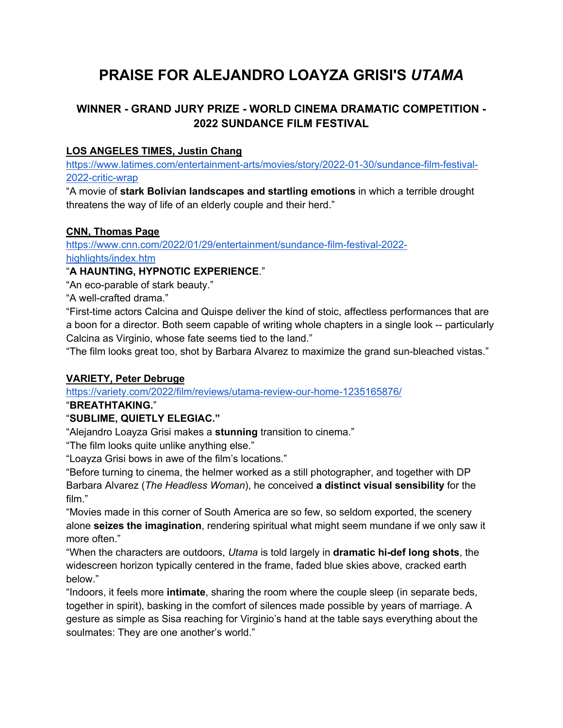# **PRAISE FOR ALEJANDRO LOAYZA GRISI'S** *UTAMA*

## **WINNER - GRAND JURY PRIZE - WORLD CINEMA DRAMATIC COMPETITION - 2022 SUNDANCE FILM FESTIVAL**

#### **LOS ANGELES TIMES, Justin Chang**

https://www.latimes.com/entertainment-arts/movies/story/2022-01-30/sundance-film-festival-2022-critic-wrap

"A movie of **stark Bolivian landscapes and startling emotions** in which a terrible drought threatens the way of life of an elderly couple and their herd."

#### **CNN, Thomas Page**

https://www.cnn.com/2022/01/29/entertainment/sundance-film-festival-2022 highlights/index.htm

"**A HAUNTING, HYPNOTIC EXPERIENCE**."

"An eco-parable of stark beauty."

"A well-crafted drama."

"First-time actors Calcina and Quispe deliver the kind of stoic, affectless performances that are a boon for a director. Both seem capable of writing whole chapters in a single look -- particularly Calcina as Virginio, whose fate seems tied to the land."

"The film looks great too, shot by Barbara Alvarez to maximize the grand sun-bleached vistas."

#### **VARIETY, Peter Debruge**

https://variety.com/2022/film/reviews/utama-review-our-home-1235165876/

#### "**BREATHTAKING.**"

## "**SUBLIME, QUIETLY ELEGIAC."**

"Alejandro Loayza Grisi makes a **stunning** transition to cinema."

"The film looks quite unlike anything else."

"Loayza Grisi bows in awe of the film's locations."

"Before turning to cinema, the helmer worked as a still photographer, and together with DP Barbara Alvarez (*The Headless Woman*), he conceived **a distinct visual sensibility** for the film."

"Movies made in this corner of South America are so few, so seldom exported, the scenery alone **seizes the imagination**, rendering spiritual what might seem mundane if we only saw it more often."

"When the characters are outdoors, *Utama* is told largely in **dramatic hi-def long shots**, the widescreen horizon typically centered in the frame, faded blue skies above, cracked earth below."

"Indoors, it feels more **intimate**, sharing the room where the couple sleep (in separate beds, together in spirit), basking in the comfort of silences made possible by years of marriage. A gesture as simple as Sisa reaching for Virginio's hand at the table says everything about the soulmates: They are one another's world."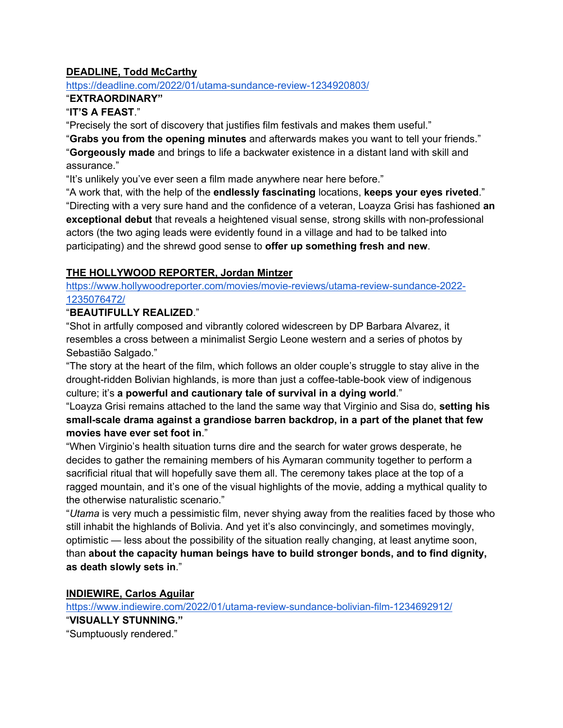#### **DEADLINE, Todd McCarthy**

#### https://deadline.com/2022/01/utama-sundance-review-1234920803/

#### "**EXTRAORDINARY"**

#### "**IT'S A FEAST**."

"Precisely the sort of discovery that justifies film festivals and makes them useful."

"**Grabs you from the opening minutes** and afterwards makes you want to tell your friends." "**Gorgeously made** and brings to life a backwater existence in a distant land with skill and assurance."

"It's unlikely you've ever seen a film made anywhere near here before."

"A work that, with the help of the **endlessly fascinating** locations, **keeps your eyes riveted**." "Directing with a very sure hand and the confidence of a veteran, Loayza Grisi has fashioned **an exceptional debut** that reveals a heightened visual sense, strong skills with non-professional actors (the two aging leads were evidently found in a village and had to be talked into participating) and the shrewd good sense to **offer up something fresh and new**.

#### **THE HOLLYWOOD REPORTER, Jordan Mintzer**

https://www.hollywoodreporter.com/movies/movie-reviews/utama-review-sundance-2022- 1235076472/

#### "**BEAUTIFULLY REALIZED**."

"Shot in artfully composed and vibrantly colored widescreen by DP Barbara Alvarez, it resembles a cross between a minimalist Sergio Leone western and a series of photos by Sebastião Salgado."

"The story at the heart of the film, which follows an older couple's struggle to stay alive in the drought-ridden Bolivian highlands, is more than just a coffee-table-book view of indigenous culture; it's **a powerful and cautionary tale of survival in a dying world**."

"Loayza Grisi remains attached to the land the same way that Virginio and Sisa do, **setting his small-scale drama against a grandiose barren backdrop, in a part of the planet that few movies have ever set foot in**."

"When Virginio's health situation turns dire and the search for water grows desperate, he decides to gather the remaining members of his Aymaran community together to perform a sacrificial ritual that will hopefully save them all. The ceremony takes place at the top of a ragged mountain, and it's one of the visual highlights of the movie, adding a mythical quality to the otherwise naturalistic scenario."

"*Utama* is very much a pessimistic film, never shying away from the realities faced by those who still inhabit the highlands of Bolivia. And yet it's also convincingly, and sometimes movingly, optimistic — less about the possibility of the situation really changing, at least anytime soon, than **about the capacity human beings have to build stronger bonds, and to find dignity, as death slowly sets in**."

**INDIEWIRE, Carlos Aguilar**

https://www.indiewire.com/2022/01/utama-review-sundance-bolivian-film-1234692912/ "**VISUALLY STUNNING."** "Sumptuously rendered."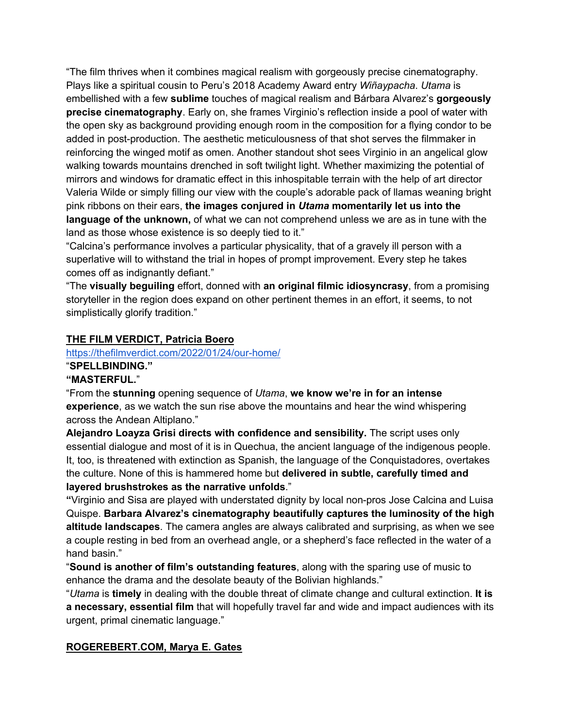"The film thrives when it combines magical realism with gorgeously precise cinematography. Plays like a spiritual cousin to Peru's 2018 Academy Award entry *Wiñaypacha*. *Utama* is embellished with a few **sublime** touches of magical realism and Bárbara Alvarez's **gorgeously precise cinematography**. Early on, she frames Virginio's reflection inside a pool of water with the open sky as background providing enough room in the composition for a flying condor to be added in post-production. The aesthetic meticulousness of that shot serves the filmmaker in reinforcing the winged motif as omen. Another standout shot sees Virginio in an angelical glow walking towards mountains drenched in soft twilight light. Whether maximizing the potential of mirrors and windows for dramatic effect in this inhospitable terrain with the help of art director Valeria Wilde or simply filling our view with the couple's adorable pack of llamas weaning bright pink ribbons on their ears, **the images conjured in** *Utama* **momentarily let us into the language of the unknown,** of what we can not comprehend unless we are as in tune with the land as those whose existence is so deeply tied to it."

"Calcina's performance involves a particular physicality, that of a gravely ill person with a superlative will to withstand the trial in hopes of prompt improvement. Every step he takes comes off as indignantly defiant."

"The **visually beguiling** effort, donned with **an original filmic idiosyncrasy**, from a promising storyteller in the region does expand on other pertinent themes in an effort, it seems, to not simplistically glorify tradition."

#### **THE FILM VERDICT, Patricia Boero**

## https://thefilmverdict.com/2022/01/24/our-home/

## "**SPELLBINDING."**

#### **"MASTERFUL.**"

"From the **stunning** opening sequence of *Utama*, **we know we're in for an intense experience**, as we watch the sun rise above the mountains and hear the wind whispering across the Andean Altiplano."

**Alejandro Loayza Grisi directs with confidence and sensibility.** The script uses only essential dialogue and most of it is in Quechua, the ancient language of the indigenous people. It, too, is threatened with extinction as Spanish, the language of the Conquistadores, overtakes the culture. None of this is hammered home but **delivered in subtle, carefully timed and layered brushstrokes as the narrative unfolds**."

**"**Virginio and Sisa are played with understated dignity by local non-pros Jose Calcina and Luisa Quispe. **Barbara Alvarez's cinematography beautifully captures the luminosity of the high altitude landscapes**. The camera angles are always calibrated and surprising, as when we see a couple resting in bed from an overhead angle, or a shepherd's face reflected in the water of a hand basin."

"**Sound is another of film's outstanding features**, along with the sparing use of music to enhance the drama and the desolate beauty of the Bolivian highlands."

"*Utama* is **timely** in dealing with the double threat of climate change and cultural extinction. **It is a necessary, essential film** that will hopefully travel far and wide and impact audiences with its urgent, primal cinematic language."

#### **ROGEREBERT.COM, Marya E. Gates**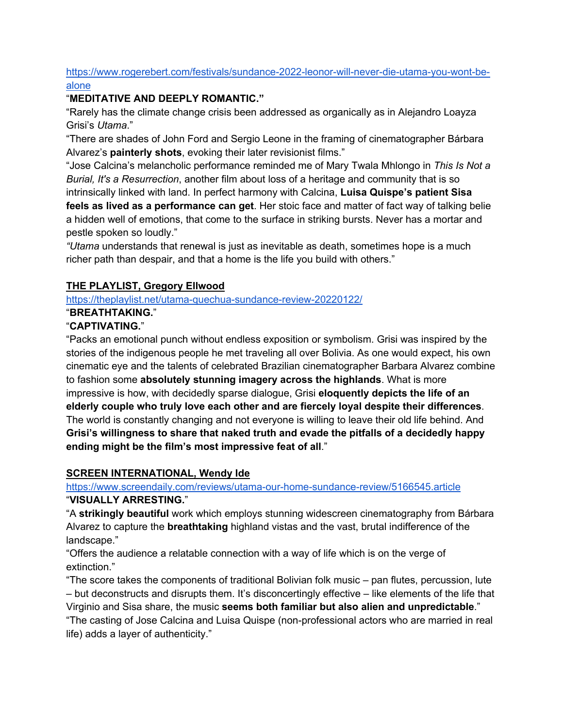#### https://www.rogerebert.com/festivals/sundance-2022-leonor-will-never-die-utama-you-wont-bealone

### "**MEDITATIVE AND DEEPLY ROMANTIC."**

"Rarely has the climate change crisis been addressed as organically as in Alejandro Loayza Grisi's *Utama*."

"There are shades of John Ford and Sergio Leone in the framing of cinematographer Bárbara Alvarez's **painterly shots**, evoking their later revisionist films."

"Jose Calcina's melancholic performance reminded me of Mary Twala Mhlongo in *This Is Not a Burial, It's a Resurrection*, another film about loss of a heritage and community that is so

intrinsically linked with land. In perfect harmony with Calcina, **Luisa Quispe's patient Sisa feels as lived as a performance can get**. Her stoic face and matter of fact way of talking belie a hidden well of emotions, that come to the surface in striking bursts. Never has a mortar and pestle spoken so loudly."

*"Utama* understands that renewal is just as inevitable as death, sometimes hope is a much richer path than despair, and that a home is the life you build with others."

## **THE PLAYLIST, Gregory Ellwood**

https://theplaylist.net/utama-quechua-sundance-review-20220122/

#### "**BREATHTAKING.**"

## "**CAPTIVATING.**"

"Packs an emotional punch without endless exposition or symbolism. Grisi was inspired by the stories of the indigenous people he met traveling all over Bolivia. As one would expect, his own cinematic eye and the talents of celebrated Brazilian cinematographer Barbara Alvarez combine to fashion some **absolutely stunning imagery across the highlands**. What is more impressive is how, with decidedly sparse dialogue, Grisi **eloquently depicts the life of an elderly couple who truly love each other and are fiercely loyal despite their differences**. The world is constantly changing and not everyone is willing to leave their old life behind. And **Grisi's willingness to share that naked truth and evade the pitfalls of a decidedly happy ending might be the film's most impressive feat of all**."

#### **SCREEN INTERNATIONAL, Wendy Ide**

#### https://www.screendaily.com/reviews/utama-our-home-sundance-review/5166545.article

## "**VISUALLY ARRESTING.**"

"A **strikingly beautiful** work which employs stunning widescreen cinematography from Bárbara Alvarez to capture the **breathtaking** highland vistas and the vast, brutal indifference of the landscape."

"Offers the audience a relatable connection with a way of life which is on the verge of extinction."

"The score takes the components of traditional Bolivian folk music – pan flutes, percussion, lute – but deconstructs and disrupts them. It's disconcertingly effective – like elements of the life that Virginio and Sisa share, the music **seems both familiar but also alien and unpredictable**." "The casting of Jose Calcina and Luisa Quispe (non-professional actors who are married in real life) adds a layer of authenticity."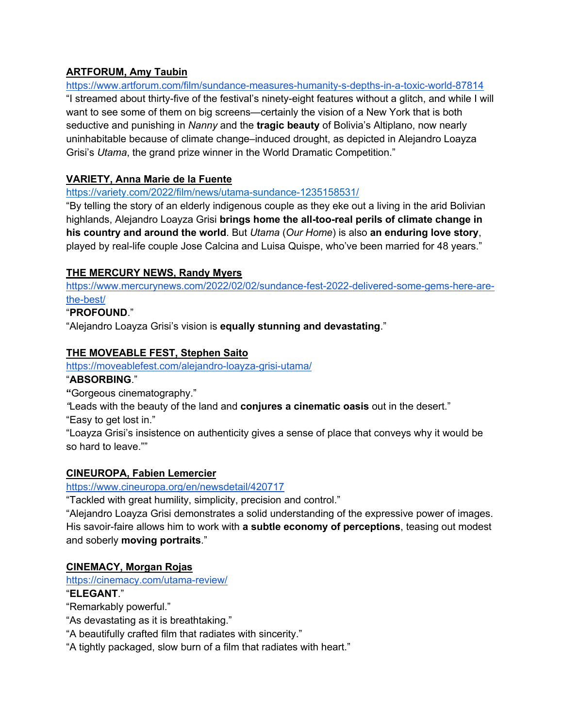#### **ARTFORUM, Amy Taubin**

https://www.artforum.com/film/sundance-measures-humanity-s-depths-in-a-toxic-world-87814 "I streamed about thirty-five of the festival's ninety-eight features without a glitch, and while I will want to see some of them on big screens—certainly the vision of a New York that is both seductive and punishing in *Nanny* and the **tragic beauty** of Bolivia's Altiplano, now nearly uninhabitable because of climate change–induced drought, as depicted in Alejandro Loayza Grisi's *Utama*, the grand prize winner in the World Dramatic Competition."

## **VARIETY, Anna Marie de la Fuente**

#### https://variety.com/2022/film/news/utama-sundance-1235158531/

"By telling the story of an elderly indigenous couple as they eke out a living in the arid Bolivian highlands, Alejandro Loayza Grisi **brings home the all-too-real perils of climate change in his country and around the world**. But *Utama* (*Our Home*) is also **an enduring love story**, played by real-life couple Jose Calcina and Luisa Quispe, who've been married for 48 years."

## **THE MERCURY NEWS, Randy Myers**

https://www.mercurynews.com/2022/02/02/sundance-fest-2022-delivered-some-gems-here-arethe-best/

#### "**PROFOUND**."

"Alejandro Loayza Grisi's vision is **equally stunning and devastating**."

#### **THE MOVEABLE FEST, Stephen Saito**

https://moveablefest.com/alejandro-loayza-grisi-utama/

#### "**ABSORBING**."

**"**Gorgeous cinematography."

*"*Leads with the beauty of the land and **conjures a cinematic oasis** out in the desert."

"Easy to get lost in."

"Loayza Grisi's insistence on authenticity gives a sense of place that conveys why it would be so hard to leave.""

## **CINEUROPA, Fabien Lemercier**

https://www.cineuropa.org/en/newsdetail/420717

"Tackled with great humility, simplicity, precision and control."

"Alejandro Loayza Grisi demonstrates a solid understanding of the expressive power of images. His savoir-faire allows him to work with **a subtle economy of perceptions**, teasing out modest and soberly **moving portraits**."

## **CINEMACY, Morgan Rojas**

https://cinemacy.com/utama-review/

#### "**ELEGANT**."

"Remarkably powerful."

"As devastating as it is breathtaking."

"A beautifully crafted film that radiates with sincerity."

"A tightly packaged, slow burn of a film that radiates with heart."